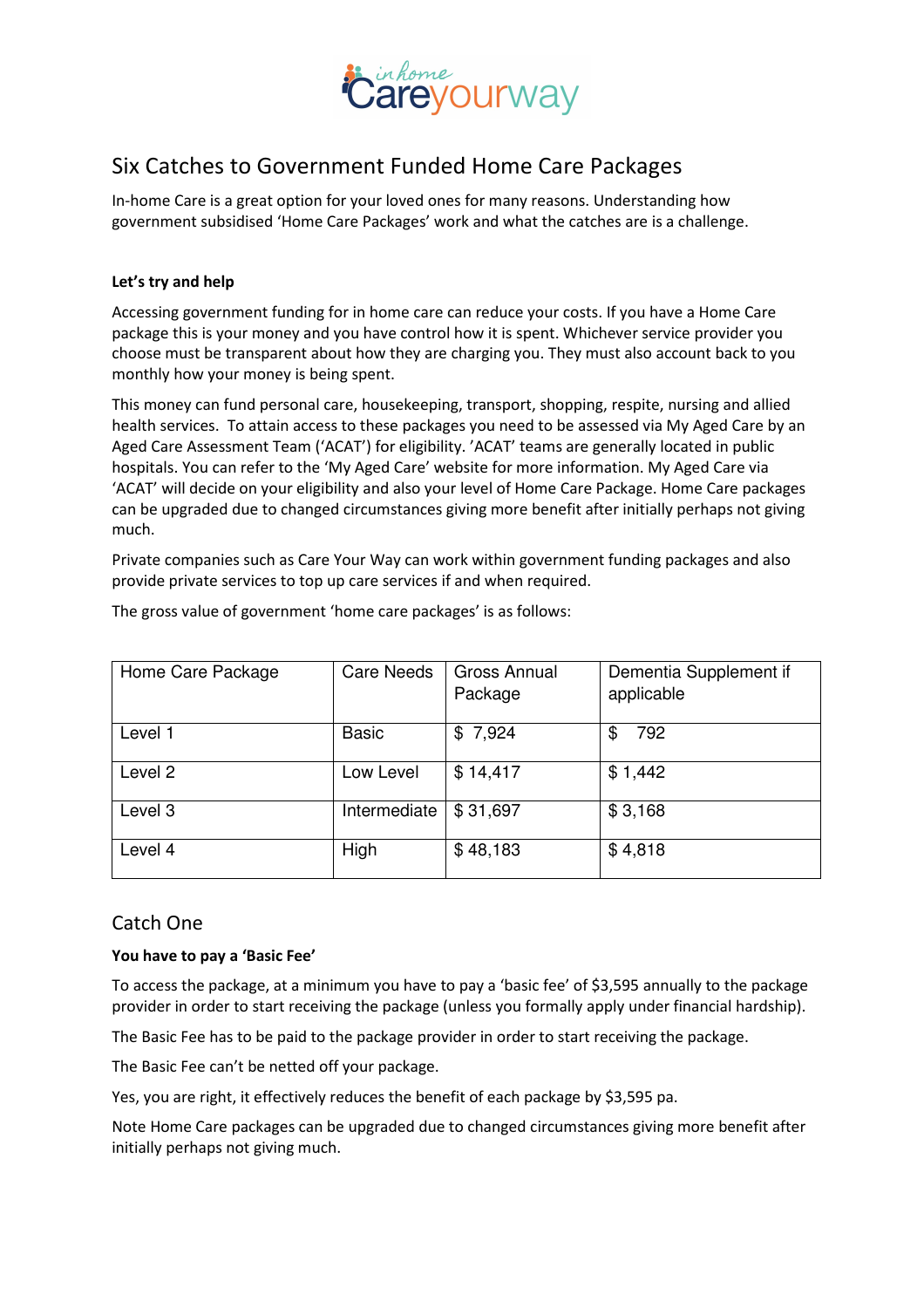

# Six Catches to Government Funded Home Care Packages

In-home Care is a great option for your loved ones for many reasons. Understanding how government subsidised 'Home Care Packages' work and what the catches are is a challenge.

### Let's try and help

Accessing government funding for in home care can reduce your costs. If you have a Home Care package this is your money and you have control how it is spent. Whichever service provider you choose must be transparent about how they are charging you. They must also account back to you monthly how your money is being spent.

This money can fund personal care, housekeeping, transport, shopping, respite, nursing and allied health services. To attain access to these packages you need to be assessed via My Aged Care by an Aged Care Assessment Team ('ACAT') for eligibility. 'ACAT' teams are generally located in public hospitals. You can refer to the 'My Aged Care' website for more information. My Aged Care via 'ACAT' will decide on your eligibility and also your level of Home Care Package. Home Care packages can be upgraded due to changed circumstances giving more benefit after initially perhaps not giving much.

Private companies such as Care Your Way can work within government funding packages and also provide private services to top up care services if and when required.

| Home Care Package | <b>Care Needs</b> | <b>Gross Annual</b> | Dementia Supplement if |
|-------------------|-------------------|---------------------|------------------------|
|                   |                   | Package             | applicable             |
| Level 1           | <b>Basic</b>      | \$7,924             | 792<br>\$              |
| Level 2           | Low Level         | \$14,417            | \$1,442                |
| Level 3           | Intermediate      | \$31,697            | \$3,168                |
| Level 4           | High              | \$48,183            | \$4,818                |

The gross value of government 'home care packages' is as follows:

## Catch One

#### You have to pay a 'Basic Fee'

To access the package, at a minimum you have to pay a 'basic fee' of \$3,595 annually to the package provider in order to start receiving the package (unless you formally apply under financial hardship).

The Basic Fee has to be paid to the package provider in order to start receiving the package.

The Basic Fee can't be netted off your package.

Yes, you are right, it effectively reduces the benefit of each package by \$3,595 pa.

Note Home Care packages can be upgraded due to changed circumstances giving more benefit after initially perhaps not giving much.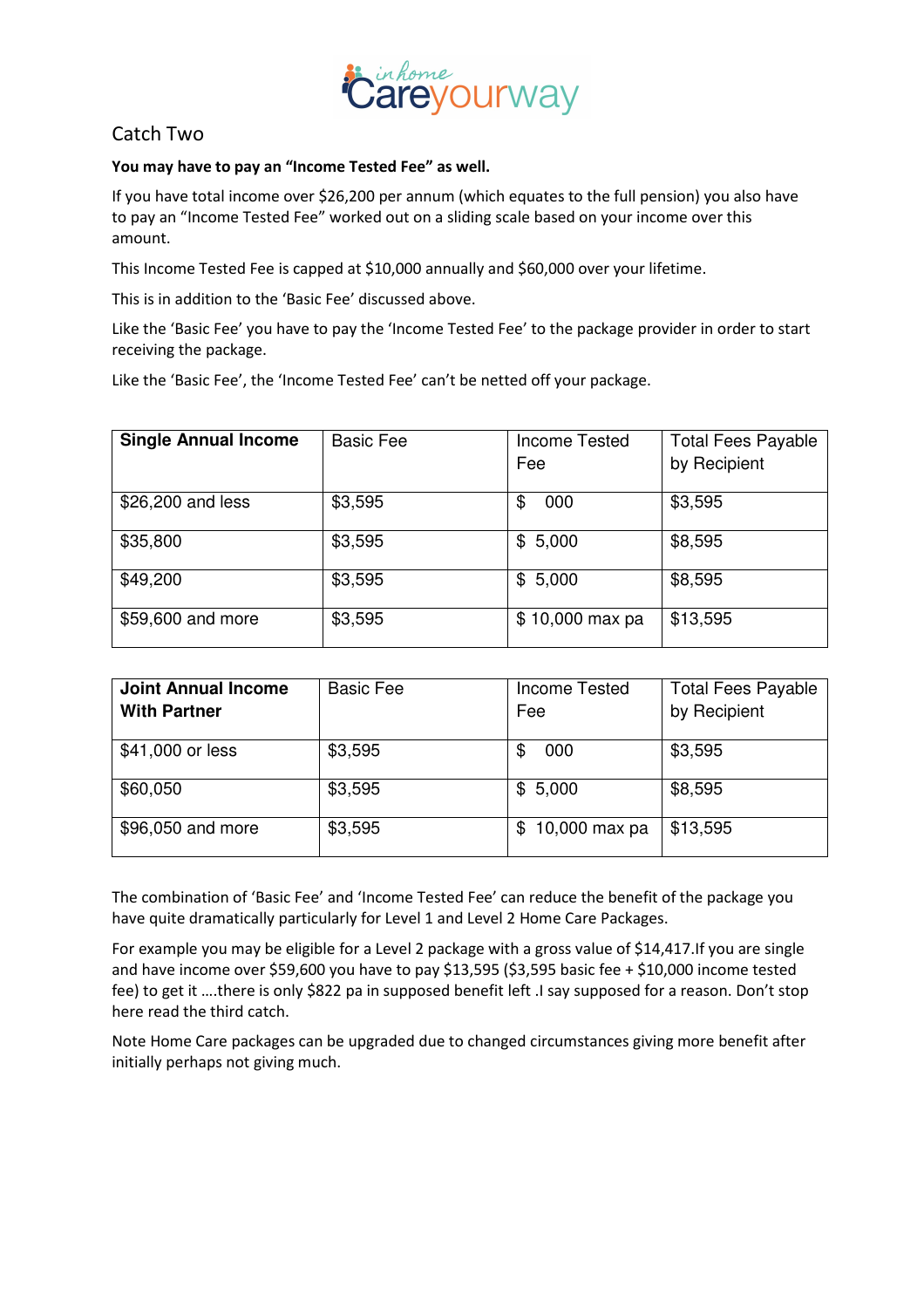

## Catch Two

#### You may have to pay an "Income Tested Fee" as well.

If you have total income over \$26,200 per annum (which equates to the full pension) you also have to pay an "Income Tested Fee" worked out on a sliding scale based on your income over this amount.

This Income Tested Fee is capped at \$10,000 annually and \$60,000 over your lifetime.

This is in addition to the 'Basic Fee' discussed above.

Like the 'Basic Fee' you have to pay the 'Income Tested Fee' to the package provider in order to start receiving the package.

Like the 'Basic Fee', the 'Income Tested Fee' can't be netted off your package.

| <b>Single Annual Income</b> | <b>Basic Fee</b> | <b>Income Tested</b><br>Fee | <b>Total Fees Payable</b><br>by Recipient |
|-----------------------------|------------------|-----------------------------|-------------------------------------------|
| \$26,200 and less           | \$3,595          | 000<br>\$                   | \$3,595                                   |
| \$35,800                    | \$3,595          | 5,000<br>\$                 | \$8,595                                   |
| \$49,200                    | \$3,595          | 5,000<br>\$                 | \$8,595                                   |
| \$59,600 and more           | \$3,595          | \$10,000 max pa             | \$13,595                                  |

| <b>Joint Annual Income</b> | <b>Basic Fee</b> | <b>Income Tested</b> | <b>Total Fees Payable</b> |
|----------------------------|------------------|----------------------|---------------------------|
| <b>With Partner</b>        |                  | Fee                  | by Recipient              |
| \$41,000 or less           | \$3,595          | 000<br>\$            | \$3,595                   |
| \$60,050                   | \$3,595          | \$5,000              | \$8,595                   |
| \$96,050 and more          | \$3,595          | 10,000 max pa<br>\$. | \$13,595                  |

The combination of 'Basic Fee' and 'Income Tested Fee' can reduce the benefit of the package you have quite dramatically particularly for Level 1 and Level 2 Home Care Packages.

For example you may be eligible for a Level 2 package with a gross value of \$14,417.If you are single and have income over \$59,600 you have to pay \$13,595 (\$3,595 basic fee + \$10,000 income tested fee) to get it ….there is only \$822 pa in supposed benefit left .I say supposed for a reason. Don't stop here read the third catch.

Note Home Care packages can be upgraded due to changed circumstances giving more benefit after initially perhaps not giving much.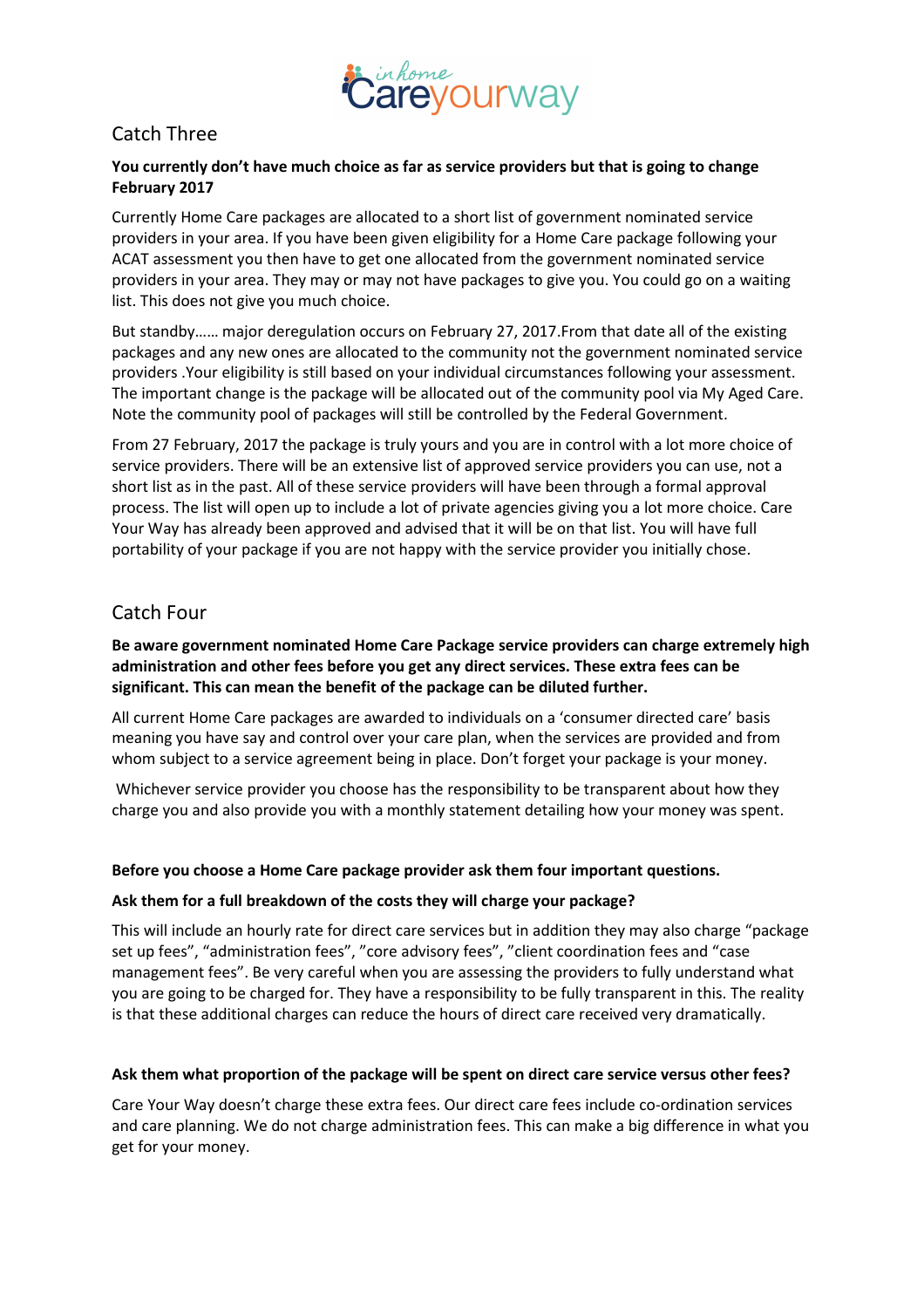

## Catch Three

### You currently don't have much choice as far as service providers but that is going to change February 2017

Currently Home Care packages are allocated to a short list of government nominated service providers in your area. If you have been given eligibility for a Home Care package following your ACAT assessment you then have to get one allocated from the government nominated service providers in your area. They may or may not have packages to give you. You could go on a waiting list. This does not give you much choice.

But standby…… major deregulation occurs on February 27, 2017.From that date all of the existing packages and any new ones are allocated to the community not the government nominated service providers .Your eligibility is still based on your individual circumstances following your assessment. The important change is the package will be allocated out of the community pool via My Aged Care. Note the community pool of packages will still be controlled by the Federal Government.

From 27 February, 2017 the package is truly yours and you are in control with a lot more choice of service providers. There will be an extensive list of approved service providers you can use, not a short list as in the past. All of these service providers will have been through a formal approval process. The list will open up to include a lot of private agencies giving you a lot more choice. Care Your Way has already been approved and advised that it will be on that list. You will have full portability of your package if you are not happy with the service provider you initially chose.

## Catch Four

## Be aware government nominated Home Care Package service providers can charge extremely high administration and other fees before you get any direct services. These extra fees can be significant. This can mean the benefit of the package can be diluted further.

All current Home Care packages are awarded to individuals on a 'consumer directed care' basis meaning you have say and control over your care plan, when the services are provided and from whom subject to a service agreement being in place. Don't forget your package is your money.

 Whichever service provider you choose has the responsibility to be transparent about how they charge you and also provide you with a monthly statement detailing how your money was spent.

## Before you choose a Home Care package provider ask them four important questions.

#### Ask them for a full breakdown of the costs they will charge your package?

This will include an hourly rate for direct care services but in addition they may also charge "package set up fees", "administration fees", "core advisory fees", "client coordination fees and "case management fees". Be very careful when you are assessing the providers to fully understand what you are going to be charged for. They have a responsibility to be fully transparent in this. The reality is that these additional charges can reduce the hours of direct care received very dramatically.

#### Ask them what proportion of the package will be spent on direct care service versus other fees?

Care Your Way doesn't charge these extra fees. Our direct care fees include co-ordination services and care planning. We do not charge administration fees. This can make a big difference in what you get for your money.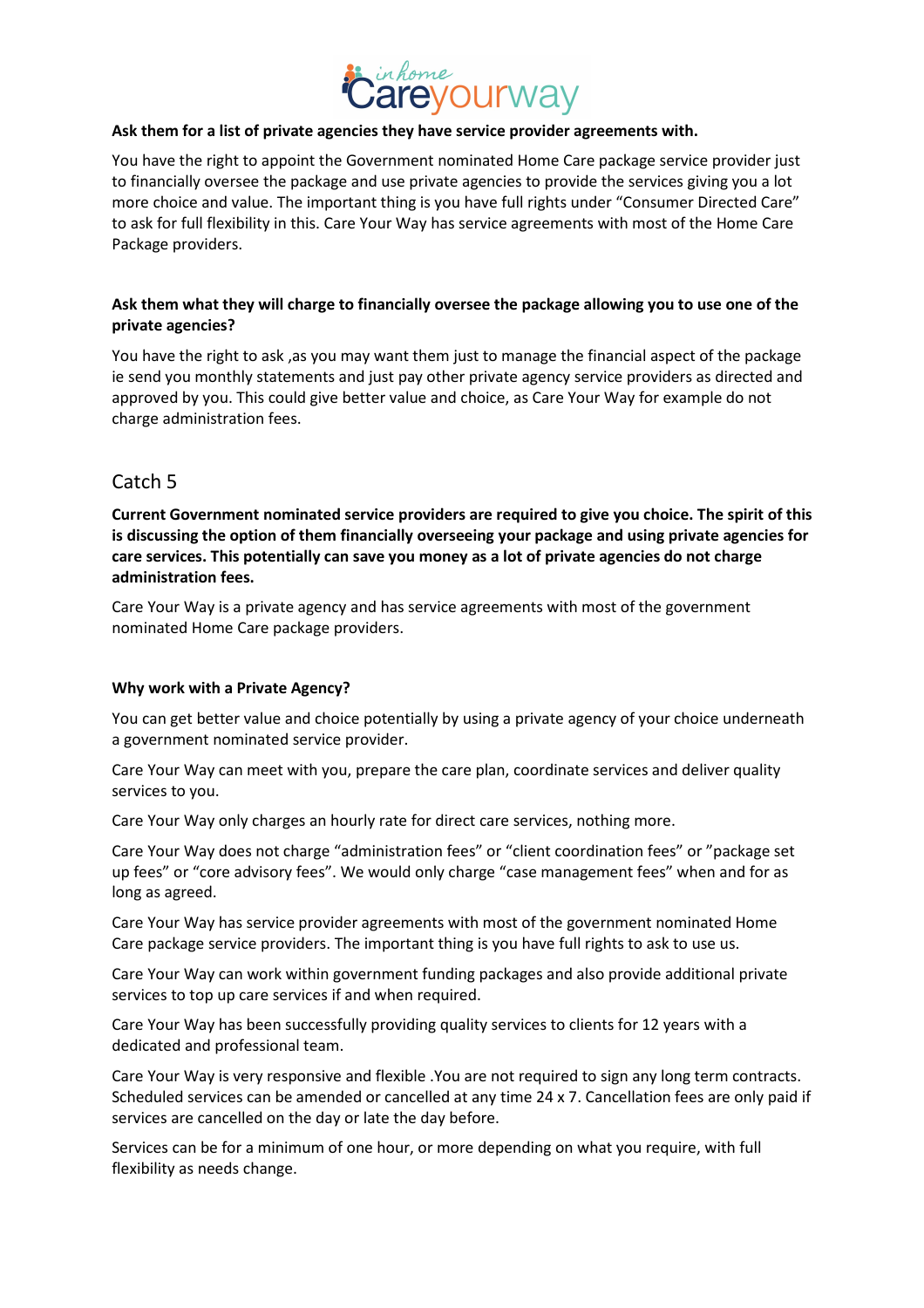

#### Ask them for a list of private agencies they have service provider agreements with.

You have the right to appoint the Government nominated Home Care package service provider just to financially oversee the package and use private agencies to provide the services giving you a lot more choice and value. The important thing is you have full rights under "Consumer Directed Care" to ask for full flexibility in this. Care Your Way has service agreements with most of the Home Care Package providers.

### Ask them what they will charge to financially oversee the package allowing you to use one of the private agencies?

You have the right to ask, as you may want them just to manage the financial aspect of the package ie send you monthly statements and just pay other private agency service providers as directed and approved by you. This could give better value and choice, as Care Your Way for example do not charge administration fees.

## Catch 5

Current Government nominated service providers are required to give you choice. The spirit of this is discussing the option of them financially overseeing your package and using private agencies for care services. This potentially can save you money as a lot of private agencies do not charge administration fees.

Care Your Way is a private agency and has service agreements with most of the government nominated Home Care package providers.

#### Why work with a Private Agency?

You can get better value and choice potentially by using a private agency of your choice underneath a government nominated service provider.

Care Your Way can meet with you, prepare the care plan, coordinate services and deliver quality services to you.

Care Your Way only charges an hourly rate for direct care services, nothing more.

Care Your Way does not charge "administration fees" or "client coordination fees" or "package set up fees" or "core advisory fees". We would only charge "case management fees" when and for as long as agreed.

Care Your Way has service provider agreements with most of the government nominated Home Care package service providers. The important thing is you have full rights to ask to use us.

Care Your Way can work within government funding packages and also provide additional private services to top up care services if and when required.

Care Your Way has been successfully providing quality services to clients for 12 years with a dedicated and professional team.

Care Your Way is very responsive and flexible .You are not required to sign any long term contracts. Scheduled services can be amended or cancelled at any time 24 x 7. Cancellation fees are only paid if services are cancelled on the day or late the day before.

Services can be for a minimum of one hour, or more depending on what you require, with full flexibility as needs change.